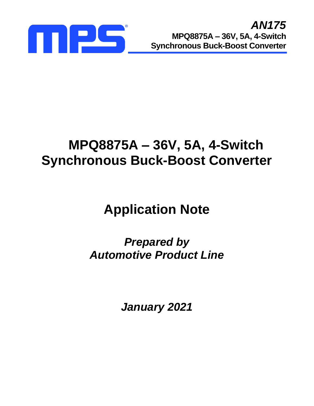

## **MPQ8875A – 36V, 5A, 4-Switch Synchronous Buck-Boost Converter**

# **Application Note**

*Prepared by Automotive Product Line*

*January 2021*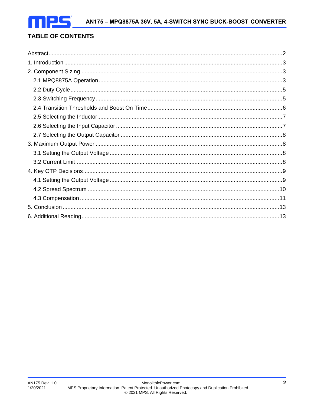## **TABLE OF CONTENTS**

<span id="page-1-0"></span>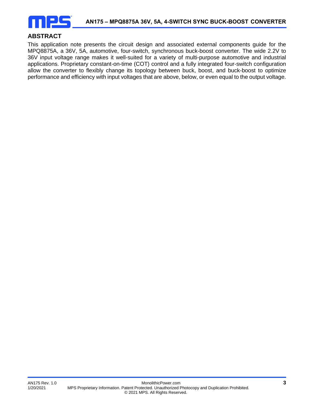

## **ABSTRACT**

This application note presents the circuit design and associated external components guide for the MPQ8875A, a 36V, 5A, automotive, four-switch, synchronous buck-boost converter. The wide 2.2V to 36V input voltage range makes it well-suited for a variety of multi-purpose automotive and industrial applications. Proprietary constant-on-time (COT) control and a fully integrated four-switch configuration allow the converter to flexibly change its topology between buck, boost, and buck-boost to optimize performance and efficiency with input voltages that are above, below, or even equal to the output voltage.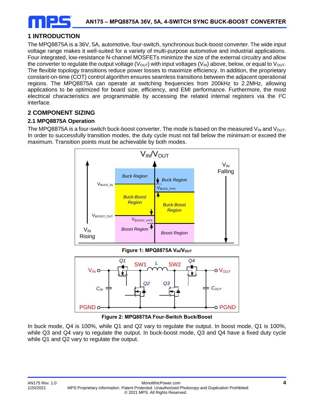

## <span id="page-3-0"></span>**1 INTRODUCTION**

The MPQ8875A is a 36V, 5A, automotive, four-switch, synchronous buck-boost converter. The wide input voltage range makes it well-suited for a variety of multi-purpose automotive and industrial applications. Four integrated, low-resistance N-channel MOSFETs minimize the size of the external circuitry and allow the converter to regulate the output voltage ( $V_{\text{OUT}}$ ) with input voltages ( $V_{\text{IN}}$ ) above, below, or equal to  $V_{\text{OUT}}$ . The flexible topology transitions reduce power losses to maximize efficiency. In addition, the proprietary constant-on-time (COT) control algorithm ensures seamless transitions between the adjacent operational regions. The MPQ8875A can operate at switching frequencies from 200kHz to 2.2MHz, allowing applications to be optimized for board size, efficiency, and EMI performance. Furthermore, the most electrical characteristics are programmable by accessing the related internal registers via the I<sup>2</sup>C interface.

## **2 COMPONENT SIZING**

## **2.1 MPQ8875A Operation**

The MPQ8875A is a four-switch buck-boost converter. The mode is based on the measured V<sub>IN</sub> and V<sub>OUT</sub>. In order to successfully transition modes, the duty cycle must not fall below the minimum or exceed the maximum. Transition points must be achievable by both modes.





**Figure 2: MPQ8875A Four-Switch Buck/Boost**

In buck mode, Q4 is 100%, while Q1 and Q2 vary to regulate the output. In boost mode, Q1 is 100%, while Q3 and Q4 vary to regulate the output. In buck-boost mode, Q3 and Q4 have a fixed duty cycle while Q1 and Q2 vary to regulate the output.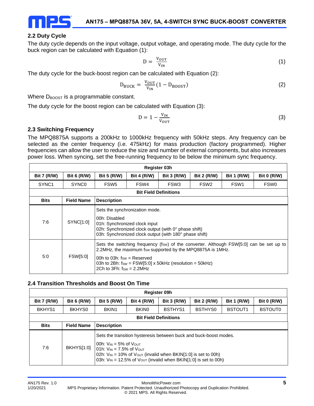

## **2.2 Duty Cycle**

The duty cycle depends on the input voltage, output voltage, and operating mode. The duty cycle for the buck region can be calculated with Equation (1):

$$
D = \frac{V_{\text{OUT}}}{V_{\text{IN}}} \tag{1}
$$

The duty cycle for the buck-boost region can be calculated with Equation (2):

$$
D_{\text{BUCK}} = \frac{V_{\text{OUT}}}{V_{\text{IN}}} (1 - D_{\text{BOOST}}) \tag{2}
$$

Where  $D_{\text{BOOST}}$  is a programmable constant.

The duty cycle for the boost region can be calculated with Equation (3):

$$
D = 1 - \frac{V_{IN}}{V_{OUT}}\tag{3}
$$

## **2.3 Switching Frequency**

The MPQ8875A supports a 200kHz to 1000kHz frequency with 50kHz steps. Any frequency can be selected as the center frequency (i.e. 475kHz) for mass production (factory programmed). Higher frequencies can allow the user to reduce the size and number of external components, but also increases power loss. When syncing, set the free-running frequency to be below the minimum sync frequency.

|                    | <b>Register 03h</b>          |                                                                  |                                                                                                                                                                                   |  |                                                            |  |                                                                                         |  |  |  |  |  |  |
|--------------------|------------------------------|------------------------------------------------------------------|-----------------------------------------------------------------------------------------------------------------------------------------------------------------------------------|--|------------------------------------------------------------|--|-----------------------------------------------------------------------------------------|--|--|--|--|--|--|
| <b>Bit 7 (R/W)</b> | <b>Bit 6 (R/W)</b>           | <b>Bit 5 (R/W)</b>                                               | <b>Bit 4 (R/W)</b><br><b>Bit 3 (R/W)</b><br><b>Bit 2 (R/W)</b><br><b>Bit 1 (R/W)</b><br><b>Bit 0 (R/W)</b>                                                                        |  |                                                            |  |                                                                                         |  |  |  |  |  |  |
| SYNC <sub>1</sub>  | SYNC <sub>0</sub>            | FSW <sub>5</sub>                                                 | FSW4<br>FSW <sub>3</sub><br>FSW <sub>2</sub><br>FSW <sub>1</sub><br><b>FSW0</b>                                                                                                   |  |                                                            |  |                                                                                         |  |  |  |  |  |  |
|                    | <b>Bit Field Definitions</b> |                                                                  |                                                                                                                                                                                   |  |                                                            |  |                                                                                         |  |  |  |  |  |  |
| <b>Bits</b>        | <b>Field Name</b>            | <b>Description</b>                                               |                                                                                                                                                                                   |  |                                                            |  |                                                                                         |  |  |  |  |  |  |
| 7:6                | SYNC[1:0]                    | 00h: Disabled                                                    | Sets the synchronization mode.<br>01h: Synchronized clock input<br>02h: Synchronized clock output (with 0° phase shift)<br>03h: Synchronized clock output (with 180° phase shift) |  |                                                            |  |                                                                                         |  |  |  |  |  |  |
| 5:0                | <b>FSW[5:0]</b>              | 00h to 03h: $f_{SW}$ = Reserved<br>2Ch to $3Fh$ : fsw = $2.2MHz$ | 03h to 2Bh: $f_{SW} = FSW[5:0] \times 50kHz$ (resolution = 50kHz)                                                                                                                 |  | 2.2MHz, the maximum fsw supported by the MPQ8875A is 1MHz. |  | Sets the switching frequency (fsw) of the converter. Although FSW[5:0] can be set up to |  |  |  |  |  |  |

## **2.4 Transition Thresholds and Boost On Time**

| Register 09h       |                              |                                                                        |                    |                                                                                                                                                                                                                           |                    |                    |                    |  |  |  |  |  |
|--------------------|------------------------------|------------------------------------------------------------------------|--------------------|---------------------------------------------------------------------------------------------------------------------------------------------------------------------------------------------------------------------------|--------------------|--------------------|--------------------|--|--|--|--|--|
| <b>Bit 7 (R/W)</b> | <b>Bit 6 (R/W)</b>           | <b>Bit 5 (R/W)</b>                                                     | <b>Bit 4 (R/W)</b> | <b>Bit 3 (R/W)</b>                                                                                                                                                                                                        | <b>Bit 2 (R/W)</b> | <b>Bit 1 (R/W)</b> | <b>Bit 0 (R/W)</b> |  |  |  |  |  |
| BKHYS1             | BKHYS0                       | BKIN1                                                                  | <b>BKINO</b>       | BSTHYS1                                                                                                                                                                                                                   | BSTHYS0            | <b>BSTOUT1</b>     | <b>BSTOUT0</b>     |  |  |  |  |  |
|                    | <b>Bit Field Definitions</b> |                                                                        |                    |                                                                                                                                                                                                                           |                    |                    |                    |  |  |  |  |  |
| <b>Bits</b>        | <b>Field Name</b>            | <b>Description</b>                                                     |                    |                                                                                                                                                                                                                           |                    |                    |                    |  |  |  |  |  |
| 7:6                | <b>BKHYS[1:0]</b>            | 00h: $V_{IN} = 5\%$ of $V_{OUT}$<br>01h: $V_{IN} = 7.5\%$ of $V_{OUT}$ |                    | Sets the transition hysteresis between buck and buck-boost modes.<br>02h: $V_{IN}$ = 10% of $V_{OUT}$ (invalid when BKIN[1:0] is set to 00h)<br>03h: $V_{IN}$ = 12.5% of $V_{OUT}$ (invalid when BKIN[1:0] is set to 00h) |                    |                    |                    |  |  |  |  |  |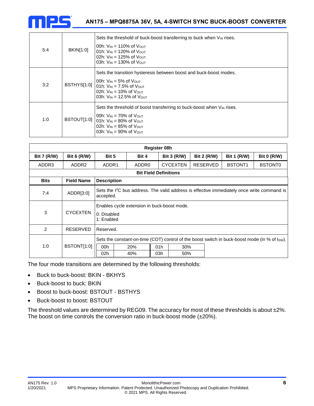

| 5:4 | BKIN[1:0]   | Sets the threshold of buck-boost transferring to buck when $V_{IN}$ rises.<br>00h: $V_{IN} = 110\%$ of $V_{OUIT}$<br>01h: $V_{IN}$ = 120% of $V_{OUT}$<br>02h: $V_{IN}$ = 125% of $V_{OUT}$<br>03h: $V_{IN}$ = 130% of $V_{OUT}$ |
|-----|-------------|----------------------------------------------------------------------------------------------------------------------------------------------------------------------------------------------------------------------------------|
| 3:2 | BSTHYS[1:0] | Sets the transition hysteresis between boost and buck-boost modes.<br>00h: $V_{IN} = 5\%$ of $V_{OUT}$<br>01h: $V_{IN} = 7.5\%$ of $V_{OUT}$<br>02h: $V_{IN}$ = 10% of $V_{OUT}$<br>03h: $V_{IN}$ = 12.5% of $V_{OUT}$           |
| 1:0 | BSTOUT[1:0] | Sets the threshold of boost transferring to buck-boost when VIN rises.<br>00h: $V_{IN}$ = 70% of $V_{OUT}$<br>$101h$ : $V_{IN} = 80\%$ of $V_{OUT}$<br>02h: $V_{IN}$ = 85% of $V_{OUT}$<br>03h: $V_{IN}$ = 90% of $V_{OUT}$      |

| <b>Register 08h</b> |                    |                           |                                             |                              |                    |                    |  |                    |                                                                                                         |  |  |  |
|---------------------|--------------------|---------------------------|---------------------------------------------|------------------------------|--------------------|--------------------|--|--------------------|---------------------------------------------------------------------------------------------------------|--|--|--|
| <b>Bit 7 (R/W)</b>  | <b>Bit 6 (R/W)</b> | Bit 5                     | Bit 4                                       |                              | <b>Bit 3 (R/W)</b> | <b>Bit 2 (R/W)</b> |  | <b>Bit 1 (R/W)</b> | <b>Bit 0 (R/W)</b>                                                                                      |  |  |  |
| ADDR3               | ADDR <sub>2</sub>  | ADDR1                     | ADDR <sub>0</sub>                           |                              | <b>CYCEXTEN</b>    | RESERVED           |  | <b>BSTONT1</b>     | <b>BSTONT0</b>                                                                                          |  |  |  |
|                     |                    |                           |                                             | <b>Bit Field Definitions</b> |                    |                    |  |                    |                                                                                                         |  |  |  |
| <b>Bits</b>         | <b>Field Name</b>  | <b>Description</b>        |                                             |                              |                    |                    |  |                    |                                                                                                         |  |  |  |
| 7:4                 | ADDR[3:0]          | accepted.                 |                                             |                              |                    |                    |  |                    | Sets the I <sup>2</sup> C bus address. The valid address is effective immediately once write command is |  |  |  |
| 3                   | <b>CYCEXTEN</b>    | 0: Disabled<br>1: Enabled | Enables cycle extension in buck-boost mode. |                              |                    |                    |  |                    |                                                                                                         |  |  |  |
| $\mathcal{P}$       | <b>RESERVED</b>    | Reserved.                 |                                             |                              |                    |                    |  |                    |                                                                                                         |  |  |  |
|                     |                    |                           |                                             |                              |                    |                    |  |                    | Sets the constant-on-time (COT) control of the boost switch in buck-boost mode (in % of tsw).           |  |  |  |
| 1:0                 | BSTONT[1:0]        | 00h                       | 20%                                         | 01h                          | 30%                |                    |  |                    |                                                                                                         |  |  |  |
|                     |                    | 02h                       | 40%                                         | 03h                          | 50%                |                    |  |                    |                                                                                                         |  |  |  |

The four mode transitions are determined by the following thresholds:

- Buck to buck-boost: BKIN BKHYS
- Buck-boost to buck: BKIN
- Boost to buck-boost: BSTOUT BSTHYS
- Buck-boost to boost: BSTOUT

The threshold values are determined by REG09. The accuracy for most of these thresholds is about ±2%. The boost on time controls the conversion ratio in buck-boost mode (±20%).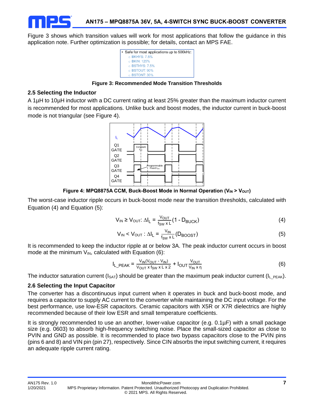Figure 3 shows which transition values will work for most applications that follow the guidance in this application note. Further optimization is possible; for details, contact an MPS FAE.



**Figure 3: Recommended Mode Transition Thresholds**

## **2.5 Selecting the Inductor**

A 1µH to 10µH inductor with a DC current rating at least 25% greater than the maximum inductor current is recommended for most applications. Unlike buck and boost modes, the inductor current in buck-boost mode is not triangular (see Figure 4).



**Figure 4: MPQ8875A CCM, Buck-Boost Mode in Normal Operation (VIN > VOUT)** 

The worst-case inductor ripple occurs in buck-boost mode near the transition thresholds, calculated with Equation (4) and Equation (5):

$$
V_{IN} \ge V_{OUT} \cdot \Delta I_L = \frac{V_{OUT}}{f_{SW} \times L} (1 - D_{BUCK})
$$
 (4)

$$
V_{IN} < V_{OUT} : \Delta I_L = \frac{V_{IN}}{f_{SW} \times L} (D_{BOOST}) \tag{5}
$$

It is recommended to keep the inductor ripple at or below 3A. The peak inductor current occurs in boost mode at the minimum  $V_{IN}$ , calculated with Equation (6):

$$
I_{L\_PEAK} = \frac{V_{IN}(V_{OUT} - V_{IN})}{V_{OUT} \times f_{SW} \times L \times 2} + I_{OUT} \frac{V_{OUT}}{V_{IN} \times \eta}
$$
(6)

The inductor saturation current ( $I_{SAT}$ ) should be greater than the maximum peak inductor current ( $I_L_{PERK}$ ).

## **2.6 Selecting the Input Capacitor**

The converter has a discontinuous input current when it operates in buck and buck-boost mode, and requires a capacitor to supply AC current to the converter while maintaining the DC input voltage. For the best performance, use low-ESR capacitors. Ceramic capacitors with X5R or X7R dielectrics are highly recommended because of their low ESR and small temperature coefficients.

It is strongly recommended to use an another, lower-value capacitor (e.g. 0.1µF) with a small package size (e.g. 0603) to absorb high-frequency switching noise. Place the small-sized capacitor as close to PVIN and GND as possible. It is recommended to place two bypass capacitors close to the PVIN pins (pins 6 and 8) and VIN pin (pin 27), respectively. Since CIN absorbs the input switching current, it requires an adequate ripple current rating.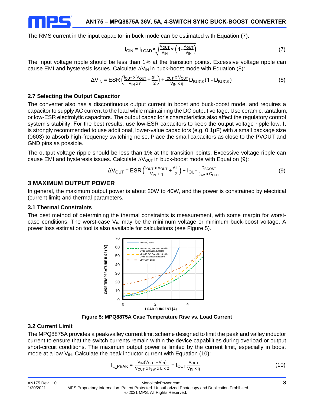

The RMS current in the input capacitor in buck mode can be estimated with Equation (7):

$$
I_{\text{CIN}} = I_{\text{LOAD}} \times \sqrt{\frac{V_{\text{OUT}}}{V_{\text{IN}}}} \times \left(1 - \frac{V_{\text{OUT}}}{V_{\text{IN}}}\right) \tag{7}
$$

The input voltage ripple should be less than 1% at the transition points. Excessive voltage ripple can cause EMI and hysteresis issues. Calculate  $\Delta V_{\text{IN}}$  in buck-boost mode with Equation (8):

$$
\Delta V_{IN} = ESR \left( \frac{I_{OUT} \times V_{OUT}}{V_{IN} \times \eta} + \frac{\Delta I_L}{2} \right) + \frac{I_{OUT} \times V_{OUT}}{V_{IN} \times \eta} D_{BUCK} (1 - D_{BUCK})
$$
(8)

#### **2.7 Selecting the Output Capacitor**

The converter also has a discontinuous output current in boost and buck-boost mode, and requires a capacitor to supply AC current to the load while maintaining the DC output voltage. Use ceramic, tantalum, or low-ESR electrolytic capacitors. The output capacitor's characteristics also affect the regulatory control system's stability. For the best results, use low-ESR capacitors to keep the output voltage ripple low. It is strongly recommended to use additional, lower-value capacitors (e.g. 0.1µF) with a small package size (0603) to absorb high-frequency switching noise. Place the small capacitors as close to the PVOUT and GND pins as possible.

The output voltage ripple should be less than 1% at the transition points. Excessive voltage ripple can cause EMI and hysteresis issues. Calculate  $\Delta V_{\text{OUT}}$  in buck-boost mode with Equation (9):

$$
\Delta V_{\text{OUT}} = \text{ESR} \left( \frac{I_{\text{OUT}} \times V_{\text{OUT}}}{V_{\text{IN}} \times \eta} + \frac{\Delta I_{\text{L}}}{2} \right) + I_{\text{OUT}} \frac{D_{\text{BOOST}}}{f_{\text{SW}} \times C_{\text{OUT}}} \tag{9}
$$

#### **3 MAXIMUM OUTPUT POWER**

In general, the maximum output power is about 20W to 40W, and the power is constrained by electrical (current limit) and thermal parameters.

#### **3.1 Thermal Constraints**

The best method of determining the thermal constraints is measurement, with some margin for worstcase conditions. The worst-case  $V_{\text{IN}}$  may be the minimum voltage or minimum buck-boost voltage. A power loss estimation tool is also available for calculations (see Figure 5).



**Figure 5: MPQ8875A Case Temperature Rise vs. Load Current**

#### **3.2 Current Limit**

The MPQ8875A provides a peak/valley current limit scheme designed to limit the peak and valley inductor current to ensure that the switch currents remain within the device capabilities during overload or output short-circuit conditions. The maximum output power is limited by the current limit, especially in boost mode at a low  $V_{\text{IN}}$ . Calculate the peak inductor current with Equation (10):

$$
I_{L\_PEAK} = \frac{V_{IN}(V_{OUT} - V_{IN})}{V_{OUT} \times f_{SW} \times L \times 2} + I_{OUT} \frac{V_{OUT}}{V_{IN} \times \eta}
$$
(10)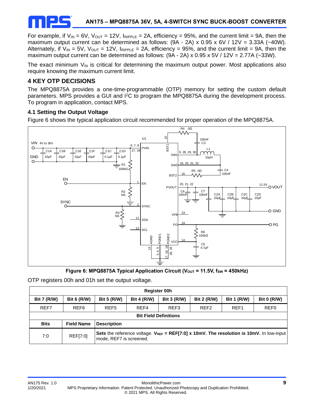

For example, if  $V_{IN} = 6V$ ,  $V_{OUT} = 12V$ ,  $I_{RIPPLE} = 2A$ , efficiency = 95%, and the current limit = 9A, then the maximum output current can be determined as follows: (9A - 2A) x 0.95 x 6V / 12V = 3.33A (~40W). Alternately, if  $V_{IN} = 5V$ ,  $V_{OUT} = 12V$ ,  $I_{RIPPLE} = 2A$ , efficiency = 95%, and the current limit = 9A, then the maximum output current can be determined as follows:  $(9A - 2A) \times 0.95 \times 5V / 12V = 2.77A$  (~33W).

The exact minimum  $V_{IN}$  is critical for determining the maximum output power. Most applications also require knowing the maximum current limit.

## **4 KEY OTP DECISIONS**

The MPQ8875A provides a one-time-programmable (OTP) memory for setting the custom default parameters. MPS provides a GUI and I<sup>2</sup>C to program the MPQ8875A during the development process. To program in application, contact MPS.

## **4.1 Setting the Output Voltage**

Figure 6 shows the typical application circuit recommended for proper operation of the MPQ8875A.



Figure 6: MPQ8875A Typical Application Circuit (V<sub>OUT</sub> = 11.5V, f<sub>SW</sub> = 450kHz)

OTP registers 00h and 01h set the output voltage.

| <b>Register 00h</b> |                              |                         |                                                                                      |                  |                  |                  |                                                                                                     |  |  |  |  |  |
|---------------------|------------------------------|-------------------------|--------------------------------------------------------------------------------------|------------------|------------------|------------------|-----------------------------------------------------------------------------------------------------|--|--|--|--|--|
| <b>Bit 7 (R/W)</b>  | <b>Bit 6 (R/W)</b>           | <b>Bit 5 (R/W)</b>      | <b>Bit 4 (R/W)</b><br><b>Bit 3 (R/W)</b><br><b>Bit 2 (R/W)</b><br><b>Bit 1 (R/W)</b> |                  |                  |                  |                                                                                                     |  |  |  |  |  |
| REF7                | REF <sub>6</sub>             | REF <sub>5</sub>        | REF4                                                                                 | REF <sub>3</sub> | REF <sub>2</sub> | REF <sub>1</sub> | REF <sub>0</sub>                                                                                    |  |  |  |  |  |
|                     | <b>Bit Field Definitions</b> |                         |                                                                                      |                  |                  |                  |                                                                                                     |  |  |  |  |  |
| <b>Bits</b>         | <b>Field Name</b>            | <b>Description</b>      |                                                                                      |                  |                  |                  |                                                                                                     |  |  |  |  |  |
| 7:0                 | REF[7:0]                     | mode, REF7 is screened. |                                                                                      |                  |                  |                  | Sets the reference voltage. $V_{REF} = REF[7:0] \times 10mV$ . The resolution is 10mV. In low-input |  |  |  |  |  |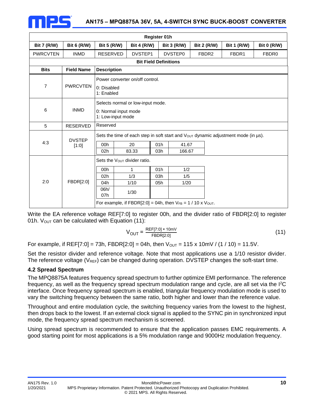

| Register 01h                 |                        |                                           |                                                                       |     |                    |                    |                                                                                    |                    |  |  |  |
|------------------------------|------------------------|-------------------------------------------|-----------------------------------------------------------------------|-----|--------------------|--------------------|------------------------------------------------------------------------------------|--------------------|--|--|--|
| <b>Bit 7 (R/W)</b>           | <b>Bit 6 (R/W)</b>     | <b>Bit 5 (R/W)</b>                        | <b>Bit 4 (R/W)</b>                                                    |     | <b>Bit 3 (R/W)</b> | <b>Bit 2 (R/W)</b> | <b>Bit 1 (R/W)</b>                                                                 | <b>Bit 0 (R/W)</b> |  |  |  |
| <b>PWRCVTEN</b>              | <b>INMD</b>            | <b>RESERVED</b>                           | DVSTEP1                                                               |     | DVSTEP0            | FBDR <sub>2</sub>  | FBDR1                                                                              | FBDR <sub>0</sub>  |  |  |  |
| <b>Bit Field Definitions</b> |                        |                                           |                                                                       |     |                    |                    |                                                                                    |                    |  |  |  |
| <b>Bits</b>                  | <b>Field Name</b>      | <b>Description</b>                        |                                                                       |     |                    |                    |                                                                                    |                    |  |  |  |
| $\overline{7}$               | <b>PWRCVTEN</b>        | 0: Disabled<br>1: Enabled                 | Power converter on/off control.                                       |     |                    |                    |                                                                                    |                    |  |  |  |
| 6                            | <b>INMD</b>            | 0: Normal input mode<br>1: Low-input mode | Selects normal or low-input mode.                                     |     |                    |                    |                                                                                    |                    |  |  |  |
| 5                            | <b>RESERVED</b>        | Reserved                                  |                                                                       |     |                    |                    |                                                                                    |                    |  |  |  |
|                              |                        |                                           |                                                                       |     |                    |                    | Sets the time of each step in soft start and Vout dynamic adjustment mode (in us). |                    |  |  |  |
| 4:3                          | <b>DVSTEP</b><br>[1:0] | 00h                                       | 20                                                                    | 01h | 41.67              |                    |                                                                                    |                    |  |  |  |
|                              |                        | 02h                                       | 83.33                                                                 | 03h | 166.67             |                    |                                                                                    |                    |  |  |  |
|                              |                        |                                           | Sets the V <sub>OUT</sub> divider ratio.                              |     |                    |                    |                                                                                    |                    |  |  |  |
|                              |                        | 00h                                       | 1                                                                     | 01h | 1/2                |                    |                                                                                    |                    |  |  |  |
|                              |                        | 02h                                       | 1/3                                                                   | 03h | 1/5                |                    |                                                                                    |                    |  |  |  |
| 2:0                          | FBDR[2:0]              | 04h                                       | 1/10                                                                  | 05h | 1/20               |                    |                                                                                    |                    |  |  |  |
|                              |                        | 06h/<br>07h                               | 1/30                                                                  |     |                    |                    |                                                                                    |                    |  |  |  |
|                              |                        |                                           | For example, if FBDR[2:0] = 04h, then $V_{FB}$ = 1 / 10 x $V_{OUT}$ . |     |                    |                    |                                                                                    |                    |  |  |  |

Write the EA reference voltage REF[7:0] to register 00h, and the divider ratio of FBDR[2:0] to register 01h.  $V_{OUT}$  can be calculated with Equation (11):

$$
V_{OUT} = \frac{REF[7:0] \times 10 \text{mV}}{FBDR[2:0]}
$$
 (11)

For example, if REF[7:0] = 73h, FBDR[2:0] = 04h, then  $V_{OUT}$  = 115 x 10mV / (1 / 10) = 11.5V.

Set the resistor divider and reference voltage. Note that most applications use a 1/10 resistor divider. The reference voltage ( $V_{REF}$ ) can be changed during operation. DVSTEP changes the soft-start time.

#### **4.2 Spread Spectrum**

The MPQ8875A features frequency spread spectrum to further optimize EMI performance. The reference frequency, as well as the frequency spread spectrum modulation range and cycle, are all set via the I<sup>2</sup>C interface. Once frequency spread spectrum is enabled, triangular frequency modulation mode is used to vary the switching frequency between the same ratio, both higher and lower than the reference value.

Throughout and entire modulation cycle, the switching frequency varies from the lowest to the highest, then drops back to the lowest. If an external clock signal is applied to the SYNC pin in synchronized input mode, the frequency spread spectrum mechanism is screened.

Using spread spectrum is recommended to ensure that the application passes EMC requirements. A good starting point for most applications is a 5% modulation range and 9000Hz modulation frequency.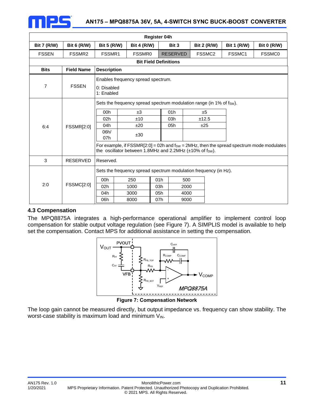

|                    | <b>Register 04h</b> |                                              |                                                                                                       |                              |                             |                                                                                           |                    |                                                                                            |  |  |  |  |
|--------------------|---------------------|----------------------------------------------|-------------------------------------------------------------------------------------------------------|------------------------------|-----------------------------|-------------------------------------------------------------------------------------------|--------------------|--------------------------------------------------------------------------------------------|--|--|--|--|
| <b>Bit 7 (R/W)</b> | <b>Bit 6 (R/W)</b>  | <b>Bit 5 (R/W)</b>                           | <b>Bit 4 (R/W)</b>                                                                                    |                              | Bit 3                       | <b>Bit 2 (R/W)</b>                                                                        | <b>Bit 1 (R/W)</b> | <b>Bit 0 (R/W)</b>                                                                         |  |  |  |  |
| <b>FSSEN</b>       | FSSMR2              | FSSMR1                                       | FSSMR0                                                                                                |                              | <b>RESERVED</b>             | FSSMC <sub>2</sub>                                                                        | FSSMC1             | <b>FSSMC0</b>                                                                              |  |  |  |  |
|                    |                     |                                              |                                                                                                       | <b>Bit Field Definitions</b> |                             |                                                                                           |                    |                                                                                            |  |  |  |  |
| <b>Bits</b>        | <b>Field Name</b>   | <b>Description</b>                           |                                                                                                       |                              |                             |                                                                                           |                    |                                                                                            |  |  |  |  |
| 7                  | <b>FSSEN</b>        | 0: Disabled<br>1: Enabled                    | Enables frequency spread spectrum.                                                                    |                              |                             |                                                                                           |                    |                                                                                            |  |  |  |  |
| 6:4                | <b>FSSMR[2:0]</b>   | 00h<br>02 <sub>h</sub><br>04h<br>06h/<br>07h | ±3<br>±10<br>±20<br>±30<br>the oscillator between 1.8MHz and 2.2MHz $(\pm 10\% \text{ of } f_{SW})$ . |                              | 01h<br>03h<br>05h           | Sets the frequency spread spectrum modulation range (in 1% of fsw).<br>±5<br>±12.5<br>±25 |                    | For example, if $FSSMR[2:0] = 02h$ and fsw = 2MHz, then the spread spectrum mode modulates |  |  |  |  |
| 3                  | <b>RESERVED</b>     | Reserved.                                    |                                                                                                       |                              |                             |                                                                                           |                    |                                                                                            |  |  |  |  |
| 2:0                | <b>FSSMC[2:0]</b>   | 00h<br>02h<br>04h<br>06h                     | 250<br>1000<br>3000<br>8000                                                                           | 01h<br>03h<br>05h<br>07h     | 500<br>2000<br>4000<br>9000 | Sets the frequency spread spectrum modulation frequency (in Hz).                          |                    |                                                                                            |  |  |  |  |

## **4.3 Compensation**

The MPQ8875A integrates a high-performance operational amplifier to implement control loop compensation for stable output voltage regulation (see Figure 7). A SIMPLIS model is available to help set the compensation. Contact MPS for additional assistance in setting the compensation.



**Figure 7: Compensation Network**

The loop gain cannot be measured directly, but output impedance vs. frequency can show stability. The worst-case stability is maximum load and minimum  $V_{\text{IN}}$ .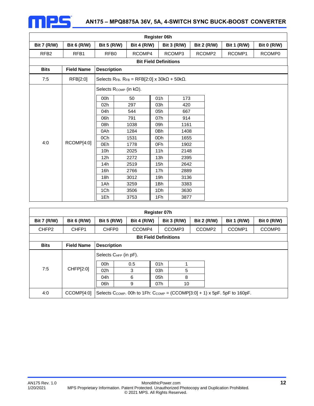

| Register 06h       |                    |                                              |                                                             |                 |                    |                    |                    |                    |  |  |  |  |
|--------------------|--------------------|----------------------------------------------|-------------------------------------------------------------|-----------------|--------------------|--------------------|--------------------|--------------------|--|--|--|--|
| <b>Bit 7 (R/W)</b> | <b>Bit 6 (R/W)</b> | <b>Bit 5 (R/W)</b>                           | <b>Bit 4 (R/W)</b>                                          |                 | <b>Bit 3 (R/W)</b> | <b>Bit 2 (R/W)</b> | <b>Bit 1 (R/W)</b> | <b>Bit 0 (R/W)</b> |  |  |  |  |
| RFB <sub>2</sub>   | RFB1               | RCOMP2<br>RFB0<br>RCOMP4<br>RCOMP3<br>RCOMP1 |                                                             |                 |                    | RCOMP0             |                    |                    |  |  |  |  |
|                    |                    |                                              |                                                             |                 |                    |                    |                    |                    |  |  |  |  |
| <b>Bits</b>        | <b>Field Name</b>  | <b>Description</b>                           |                                                             |                 |                    |                    |                    |                    |  |  |  |  |
| 7:5                | RFB[2:0]           |                                              | Selects RFB. RFB = RFB[2:0] x 30k $\Omega$ + 50k $\Omega$ . |                 |                    |                    |                    |                    |  |  |  |  |
|                    |                    |                                              | Selects Rcomp (in $k\Omega$ ).                              |                 |                    |                    |                    |                    |  |  |  |  |
|                    |                    | 00h                                          | 50                                                          | 01h             | 173                |                    |                    |                    |  |  |  |  |
|                    |                    | 02h                                          | 297                                                         | 03h             | 420                |                    |                    |                    |  |  |  |  |
|                    |                    | 04h                                          | 544                                                         | 05h             | 667                |                    |                    |                    |  |  |  |  |
|                    |                    | 06h                                          | 791                                                         | 07h             | 914                |                    |                    |                    |  |  |  |  |
|                    |                    | 08h                                          | 1038                                                        | 09h             | 1161               |                    |                    |                    |  |  |  |  |
|                    |                    | 0Ah                                          | 1284                                                        | 0Bh             | 1408               |                    |                    |                    |  |  |  |  |
|                    |                    | 0Ch                                          | 1531                                                        | 0 <sub>Dh</sub> | 1655               |                    |                    |                    |  |  |  |  |
| 4:0                | RCOMP[4:0]         | 0Eh                                          | 1778                                                        | 0Fh             | 1902               |                    |                    |                    |  |  |  |  |
|                    |                    | 10 <sub>h</sub>                              | 2025                                                        | 11h             | 2148               |                    |                    |                    |  |  |  |  |
|                    |                    | 12h                                          | 2272                                                        | 13h             | 2395               |                    |                    |                    |  |  |  |  |
|                    |                    | 14h                                          | 2519                                                        | 15h             | 2642               |                    |                    |                    |  |  |  |  |
|                    |                    | 16h                                          | 2766                                                        | 17h             | 2889               |                    |                    |                    |  |  |  |  |
|                    |                    | 18h                                          | 3012                                                        | 19h             | 3136               |                    |                    |                    |  |  |  |  |
|                    |                    | 1Ah                                          | 3259                                                        | 1Bh             | 3383               |                    |                    |                    |  |  |  |  |
|                    |                    | 1Ch                                          | 3506                                                        | 1Dh             | 3630               |                    |                    |                    |  |  |  |  |
|                    |                    | 1Eh                                          | 3753                                                        | 1Fh             | 3877               |                    |                    |                    |  |  |  |  |

| Register 07h       |                                                                                                                         |                                                                                                                                  |     |     |                    |                    |        |                    |  |  |  |  |  |
|--------------------|-------------------------------------------------------------------------------------------------------------------------|----------------------------------------------------------------------------------------------------------------------------------|-----|-----|--------------------|--------------------|--------|--------------------|--|--|--|--|--|
| <b>Bit 7 (R/W)</b> | <b>Bit 6 (R/W)</b>                                                                                                      | <b>Bit 5 (R/W)</b><br><b>Bit 4 (R/W)</b><br><b>Bit 3 (R/W)</b><br><b>Bit 2 (R/W)</b><br><b>Bit 1 (R/W)</b><br><b>Bit 0 (R/W)</b> |     |     |                    |                    |        |                    |  |  |  |  |  |
| CHFP <sub>2</sub>  | CHFP1                                                                                                                   | CHFP <sub>0</sub><br>CCOMP4                                                                                                      |     |     | CCOMP <sub>3</sub> | CCOMP <sub>2</sub> | CCOMP1 | CCOMP <sub>0</sub> |  |  |  |  |  |
|                    | <b>Bit Field Definitions</b>                                                                                            |                                                                                                                                  |     |     |                    |                    |        |                    |  |  |  |  |  |
| <b>Bits</b>        | <b>Field Name</b>                                                                                                       | <b>Description</b>                                                                                                               |     |     |                    |                    |        |                    |  |  |  |  |  |
|                    |                                                                                                                         | Selects CHFP (in pF).                                                                                                            |     |     |                    |                    |        |                    |  |  |  |  |  |
|                    |                                                                                                                         | 00h                                                                                                                              | 0.5 | 01h |                    |                    |        |                    |  |  |  |  |  |
| 7:5                | CHFP[2:0]                                                                                                               | 02 <sub>h</sub>                                                                                                                  | 3   | 03h | 5                  |                    |        |                    |  |  |  |  |  |
|                    |                                                                                                                         | 04h                                                                                                                              | 6   | 05h | 8                  |                    |        |                    |  |  |  |  |  |
|                    |                                                                                                                         | 06h                                                                                                                              | 9   | 07h | 10                 |                    |        |                    |  |  |  |  |  |
| 4:0                | CCOMP[4:0]<br>Selects C <sub>COMP</sub> . 00h to 1Fh: C <sub>COMP</sub> = $(CCOMP[3:0] + 1) \times 5pF$ . 5pF to 160pF. |                                                                                                                                  |     |     |                    |                    |        |                    |  |  |  |  |  |